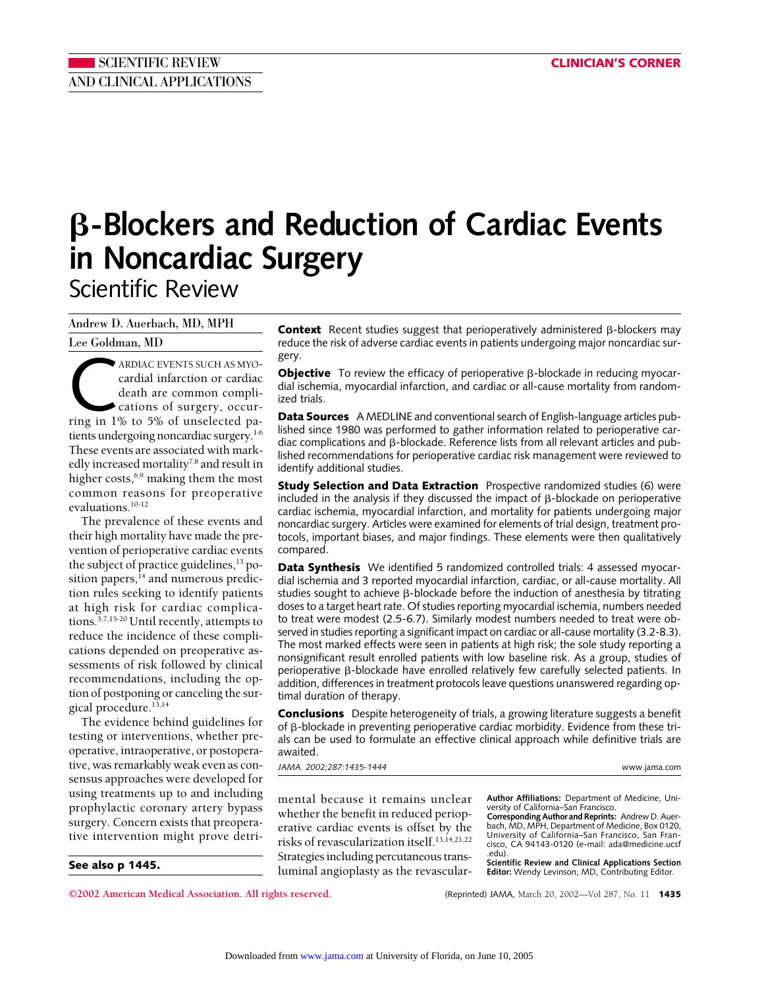# **-Blockers and Reduction of Cardiac Events in Noncardiac Surgery** Scientific Review

Andrew D. Auerbach, MD, MPH

Lee Goldman, MD

ARDIAC EVENTS SUCH AS MYO-<br>cardial infarction or cardiac<br>death are common compli-<br>cations of surgery, occur-<br>ring in 1% to 5% of unselected pacardial infarction or cardiac death are common complications of surgery, occurtients undergoing noncardiac surgery.<sup>1-6</sup> These events are associated with markedly increased mortality<sup>7,8</sup> and result in higher costs,<sup>6,9</sup> making them the most common reasons for preoperative evaluations.<sup>10-12</sup>

The prevalence of these events and their high mortality have made the prevention of perioperative cardiac events the subject of practice guidelines, $13$  position papers, $^{14}$  and numerous prediction rules seeking to identify patients at high risk for cardiac complications.5,7,15-20 Until recently, attempts to reduce the incidence of these complications depended on preoperative assessments of risk followed by clinical recommendations, including the option of postponing or canceling the surgical procedure.<sup>13,14</sup>

The evidence behind guidelines for testing or interventions, whether preoperative, intraoperative, or postoperative, was remarkably weak even as consensus approaches were developed for using treatments up to and including prophylactic coronary artery bypass surgery. Concern exists that preoperative intervention might prove detri-

**See also p 1445.**

**Context** Recent studies suggest that perioperatively administered  $\beta$ -blockers may reduce the risk of adverse cardiac events in patients undergoing major noncardiac surgery.

**Objective** To review the efficacy of perioperative β-blockade in reducing myocardial ischemia, myocardial infarction, and cardiac or all-cause mortality from randomized trials.

**Data Sources** A MEDLINE and conventional search of English-language articles published since 1980 was performed to gather information related to perioperative cardiac complications and  $\beta$ -blockade. Reference lists from all relevant articles and published recommendations for perioperative cardiac risk management were reviewed to identify additional studies.

**Study Selection and Data Extraction** Prospective randomized studies (6) were included in the analysis if they discussed the impact of  $\beta$ -blockade on perioperative cardiac ischemia, myocardial infarction, and mortality for patients undergoing major noncardiac surgery. Articles were examined for elements of trial design, treatment protocols, important biases, and major findings. These elements were then qualitatively compared.

**Data Synthesis** We identified 5 randomized controlled trials: 4 assessed myocardial ischemia and 3 reported myocardial infarction, cardiac, or all-cause mortality. All studies sought to achieve  $\beta$ -blockade before the induction of anesthesia by titrating doses to a target heart rate. Of studies reporting myocardial ischemia, numbers needed to treat were modest (2.5-6.7). Similarly modest numbers needed to treat were observed in studies reporting a significant impact on cardiac or all-cause mortality (3.2-8.3). The most marked effects were seen in patients at high risk; the sole study reporting a nonsignificant result enrolled patients with low baseline risk. As a group, studies of  $p$ erioperative  $\beta$ -blockade have enrolled relatively few carefully selected patients. In addition, differences in treatment protocols leave questions unanswered regarding optimal duration of therapy.

**Conclusions** Despite heterogeneity of trials, a growing literature suggests a benefit of  $\beta$ -blockade in preventing perioperative cardiac morbidity. Evidence from these trials can be used to formulate an effective clinical approach while definitive trials are awaited.

*JAMA. 2002;287:1435-1444* www.jama.com

mental because it remains unclear whether the benefit in reduced perioperative cardiac events is offset by the risks of revascularization itself.13,14,21,22 Strategies including percutaneous transluminal angioplasty as the revascular-

**Author Affiliations:** Department of Medicine, Uni-versity of California–San Francisco. **Corresponding Author and Reprints:** Andrew D. Auer-

bach, MD, MPH, Department of Medicine, Box 0120, University of California–San Francisco, San Francisco, CA 94143-0120 (e-mail: ada@medicine.ucsf .edu).

**Scientific Review and Clinical Applications Section Editor:** Wendy Levinson, MD, Contributing Editor.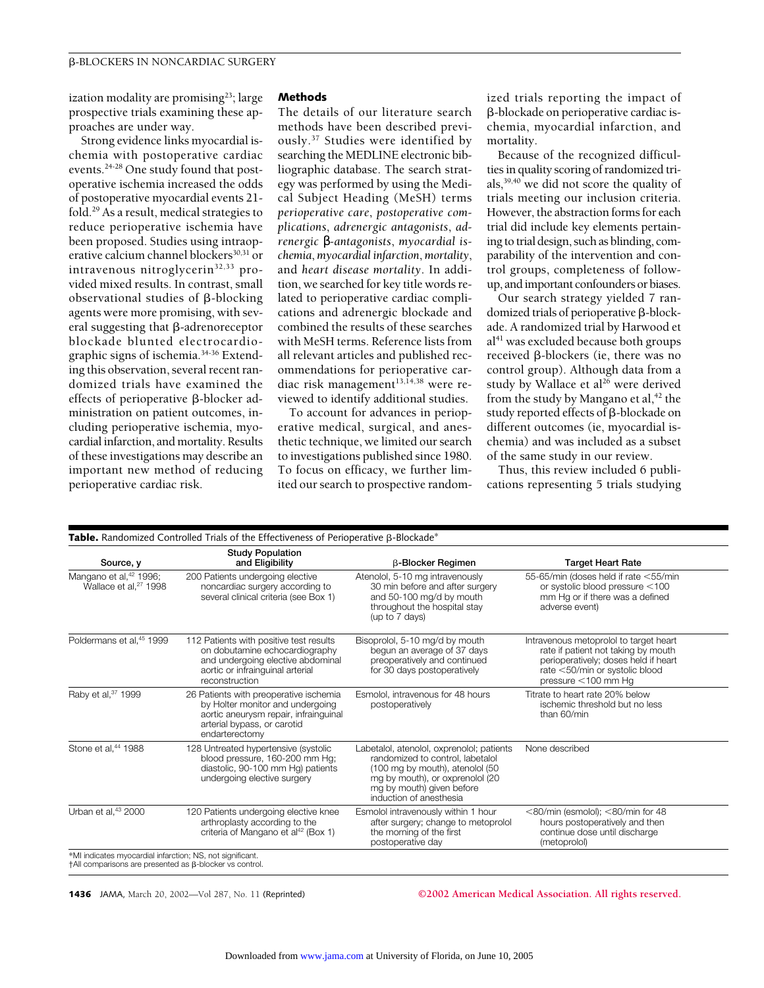ization modality are promising<sup>23</sup>; large prospective trials examining these approaches are under way.

Strong evidence links myocardial ischemia with postoperative cardiac events.24-28 One study found that postoperative ischemia increased the odds of postoperative myocardial events 21 fold.29 As a result, medical strategies to reduce perioperative ischemia have been proposed. Studies using intraoperative calcium channel blockers<sup>30,31</sup> or intravenous nitroglycerin<sup>32,33</sup> provided mixed results. In contrast, small observational studies of  $\beta$ -blocking agents were more promising, with several suggesting that  $\beta$ -adrenoreceptor blockade blunted electrocardiographic signs of ischemia.34-36 Extending this observation, several recent randomized trials have examined the effects of perioperative  $\beta$ -blocker administration on patient outcomes, including perioperative ischemia, myocardial infarction, and mortality. Results of these investigations may describe an important new method of reducing perioperative cardiac risk.

## **Methods**

The details of our literature search methods have been described previously.37 Studies were identified by searching the MEDLINE electronic bibliographic database. The search strategy was performed by using the Medical Subject Heading (MeSH) terms *perioperative care*, *postoperative complications*, *adrenergic antagonists*, *adrenergic* β*-antagonists*, *myocardial ischemia*, *myocardial infarction*, *mortality*, and *heart disease mortality*. In addition, we searched for key title words related to perioperative cardiac complications and adrenergic blockade and combined the results of these searches with MeSH terms. Reference lists from all relevant articles and published recommendations for perioperative cardiac risk management<sup>13,14,38</sup> were reviewed to identify additional studies.

To account for advances in perioperative medical, surgical, and anesthetic technique, we limited our search to investigations published since 1980. To focus on efficacy, we further limited our search to prospective random-

ized trials reporting the impact of -blockade on perioperative cardiac ischemia, myocardial infarction, and mortality.

Because of the recognized difficulties in quality scoring of randomized trials,39,40 we did not score the quality of trials meeting our inclusion criteria. However, the abstraction forms for each trial did include key elements pertaining to trial design, such as blinding, comparability of the intervention and control groups, completeness of followup, and important confounders or biases.

Our search strategy yielded 7 randomized trials of perioperative  $\beta$ -blockade. A randomized trial by Harwood et  $al<sup>41</sup>$  was excluded because both groups received  $\beta$ -blockers (ie, there was no control group). Although data from a study by Wallace et al<sup>26</sup> were derived from the study by Mangano et al, $42$  the study reported effects of  $\beta$ -blockade on different outcomes (ie, myocardial ischemia) and was included as a subset of the same study in our review.

Thus, this review included 6 publications representing 5 trials studying

| Source, y                                                               | <b>Study Population</b><br>and Eligibility                                                                                                                           | <b>B-Blocker Regimen</b>                                                                                                                                                                                    | <b>Target Heart Rate</b>                                                                                                                                                          |
|-------------------------------------------------------------------------|----------------------------------------------------------------------------------------------------------------------------------------------------------------------|-------------------------------------------------------------------------------------------------------------------------------------------------------------------------------------------------------------|-----------------------------------------------------------------------------------------------------------------------------------------------------------------------------------|
| Mangano et al, <sup>42</sup> 1996;<br>Wallace et al, <sup>27</sup> 1998 | 200 Patients undergoing elective<br>noncardiac surgery according to<br>several clinical criteria (see Box 1)                                                         | Atenolol, 5-10 mg intravenously<br>30 min before and after surgery<br>and 50-100 mg/d by mouth<br>throughout the hospital stay<br>(up to 7 days)                                                            | 55-65/min (doses held if rate <55/min<br>or systolic blood pressure <100<br>mm Hg or if there was a defined<br>adverse event)                                                     |
| Poldermans et al. <sup>45</sup> 1999                                    | 112 Patients with positive test results<br>on dobutamine echocardiography<br>and undergoing elective abdominal<br>aortic or infrainguinal arterial<br>reconstruction | Bisoprolol, 5-10 mg/d by mouth<br>begun an average of 37 days<br>preoperatively and continued<br>for 30 days postoperatively                                                                                | Intravenous metoprolol to target heart<br>rate if patient not taking by mouth<br>perioperatively; doses held if heart<br>rate <50/min or systolic blood<br>pressure $<$ 100 mm Hq |
| Raby et al, 37 1999                                                     | 26 Patients with preoperative ischemia<br>by Holter monitor and undergoing<br>aortic aneurysm repair, infrainguinal<br>arterial bypass, or carotid<br>endarterectomy | Esmolol, intravenous for 48 hours<br>postoperatively                                                                                                                                                        | Titrate to heart rate 20% below<br>ischemic threshold but no less<br>than 60/min                                                                                                  |
| Stone et al, <sup>44</sup> 1988                                         | 128 Untreated hypertensive (systolic<br>blood pressure, 160-200 mm Hg;<br>diastolic, 90-100 mm Hg) patients<br>undergoing elective surgery                           | Labetalol, atenolol, oxprenolol; patients<br>randomized to control, labetalol<br>(100 mg by mouth), atenolol (50<br>mg by mouth), or oxprenolol (20<br>mg by mouth) given before<br>induction of anesthesia | None described                                                                                                                                                                    |
| Urban et al. <sup>43</sup> 2000                                         | 120 Patients undergoing elective knee<br>arthroplasty according to the<br>criteria of Mangano et al <sup>42</sup> (Box 1)                                            | Esmolol intravenously within 1 hour<br>after surgery; change to metoprolol<br>the morning of the first<br>postoperative day                                                                                 | $<$ 80/min (esmolol); $<$ 80/min for 48<br>hours postoperatively and then<br>continue dose until discharge<br>(metoprolol)                                                        |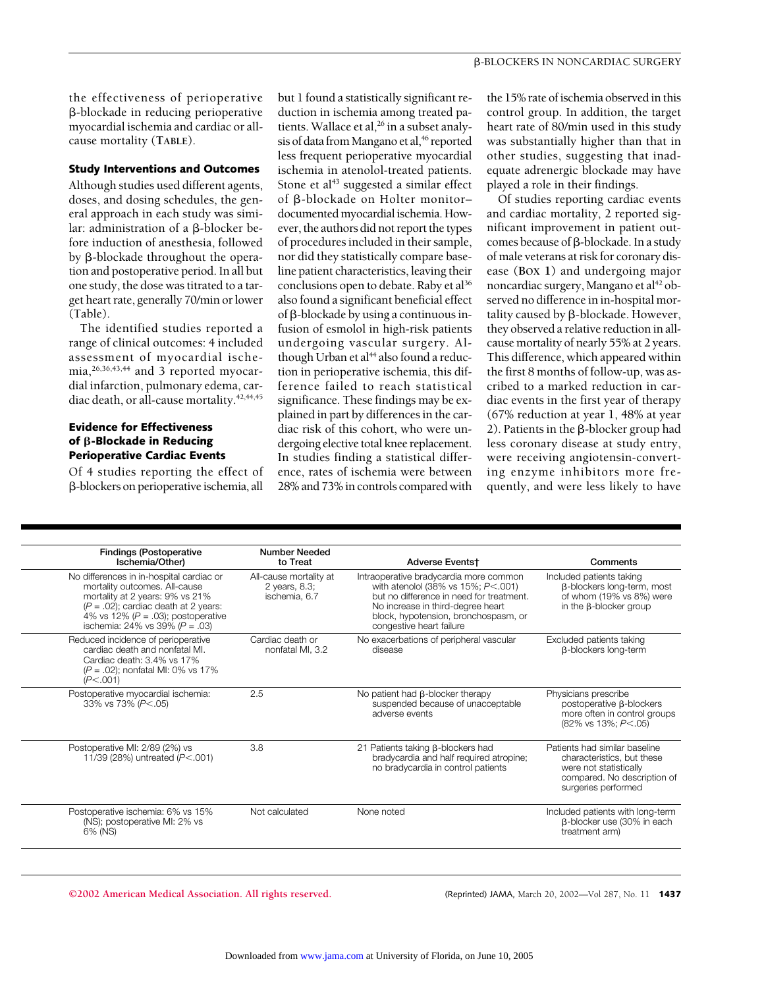the effectiveness of perioperative -blockade in reducing perioperative myocardial ischemia and cardiac or allcause mortality (**TABLE**).

## **Study Interventions and Outcomes**

Although studies used different agents, doses, and dosing schedules, the general approach in each study was similar: administration of a  $\beta$ -blocker before induction of anesthesia, followed by  $\beta$ -blockade throughout the operation and postoperative period. In all but one study, the dose was titrated to a target heart rate, generally 70/min or lower (Table).

The identified studies reported a range of clinical outcomes: 4 included assessment of myocardial ischemia,26,36,43,44 and 3 reported myocardial infarction, pulmonary edema, cardiac death, or all-cause mortality.<sup>42,44,45</sup>

## **Evidence for Effectiveness of -Blockade in Reducing Perioperative Cardiac Events**

Of 4 studies reporting the effect of -blockers on perioperative ischemia, all

but 1 found a statistically significant reduction in ischemia among treated patients. Wallace et al,<sup>26</sup> in a subset analysis of data from Mangano et al,<sup>46</sup> reported less frequent perioperative myocardial ischemia in atenolol-treated patients. Stone et al<sup>43</sup> suggested a similar effect of  $\beta$ -blockade on Holter monitordocumented myocardial ischemia. However, the authors did not report the types of procedures included in their sample, nor did they statistically compare baseline patient characteristics, leaving their conclusions open to debate. Raby et al<sup>36</sup> also found a significant beneficial effect of  $\beta$ -blockade by using a continuous infusion of esmolol in high-risk patients undergoing vascular surgery. Although Urban et al<sup>44</sup> also found a reduction in perioperative ischemia, this difference failed to reach statistical significance. These findings may be explained in part by differences in the cardiac risk of this cohort, who were undergoing elective total knee replacement. In studies finding a statistical difference, rates of ischemia were between 28% and 73% in controls compared with

the 15% rate of ischemia observed in this control group. In addition, the target heart rate of 80/min used in this study was substantially higher than that in other studies, suggesting that inadequate adrenergic blockade may have played a role in their findings.

Of studies reporting cardiac events and cardiac mortality, 2 reported significant improvement in patient outcomes because of  $\beta$ -blockade. In a study of male veterans at risk for coronary disease (**BOX 1**) and undergoing major noncardiac surgery, Mangano et al<sup>42</sup> observed no difference in in-hospital mortality caused by  $\beta$ -blockade. However, they observed a relative reduction in allcause mortality of nearly 55% at 2 years. This difference, which appeared within the first 8 months of follow-up, was ascribed to a marked reduction in cardiac events in the first year of therapy (67% reduction at year 1, 48% at year 2). Patients in the  $\beta$ -blocker group had less coronary disease at study entry, were receiving angiotensin-converting enzyme inhibitors more frequently, and were less likely to have

| <b>Findings (Postoperative</b><br>Ischemia/Other)                                                                                                                                                                                       | Number Needed<br>to Treat                                | <b>Adverse Eventst</b>                                                                                                                                                                                                                | Comments                                                                                                                                    |
|-----------------------------------------------------------------------------------------------------------------------------------------------------------------------------------------------------------------------------------------|----------------------------------------------------------|---------------------------------------------------------------------------------------------------------------------------------------------------------------------------------------------------------------------------------------|---------------------------------------------------------------------------------------------------------------------------------------------|
| No differences in in-hospital cardiac or<br>mortality outcomes. All-cause<br>mortality at 2 years: 9% vs 21%<br>$(P = .02)$ ; cardiac death at 2 years:<br>4% vs 12% ( $P = .03$ ); postoperative<br>ischemia: 24% vs 39% ( $P = .03$ ) | All-cause mortality at<br>2 years, 8.3;<br>ischemia, 6.7 | Intraoperative bradycardia more common<br>with atenolol (38% vs 15%; $P$ < .001)<br>but no difference in need for treatment.<br>No increase in third-degree heart<br>block, hypotension, bronchospasm, or<br>congestive heart failure | Included patients taking<br>$\beta$ -blockers long-term, most<br>of whom (19% vs 8%) were<br>in the $\beta$ -blocker group                  |
| Reduced incidence of perioperative<br>cardiac death and nonfatal MI.<br>Cardiac death: 3.4% vs 17%<br>$(P = .02)$ ; nonfatal MI: 0% vs 17%<br>(P<.001)                                                                                  | Cardiac death or<br>nonfatal MI, 3.2                     | No exacerbations of peripheral vascular<br>disease                                                                                                                                                                                    | Excluded patients taking<br><b>B-blockers long-term</b>                                                                                     |
| Postoperative myocardial ischemia:<br>33% vs 73% (P<.05)                                                                                                                                                                                | 2.5                                                      | No patient had $\beta$ -blocker therapy<br>suspended because of unacceptable<br>adverse events                                                                                                                                        | Physicians prescribe<br>postoperative B-blockers<br>more often in control groups<br>$(82\% \text{ vs } 13\%; P < .05)$                      |
| Postoperative MI: 2/89 (2%) vs<br>11/39 (28%) untreated (P<.001)                                                                                                                                                                        | 3.8                                                      | 21 Patients taking $\beta$ -blockers had<br>bradycardia and half required atropine;<br>no bradycardia in control patients                                                                                                             | Patients had similar baseline<br>characteristics, but these<br>were not statistically<br>compared. No description of<br>surgeries performed |
| Postoperative ischemia: 6% vs 15%<br>(NS); postoperative MI: 2% vs<br>6% (NS)                                                                                                                                                           | Not calculated                                           | None noted                                                                                                                                                                                                                            | Included patients with long-term<br>$\beta$ -blocker use (30% in each<br>treatment arm)                                                     |
|                                                                                                                                                                                                                                         |                                                          |                                                                                                                                                                                                                                       |                                                                                                                                             |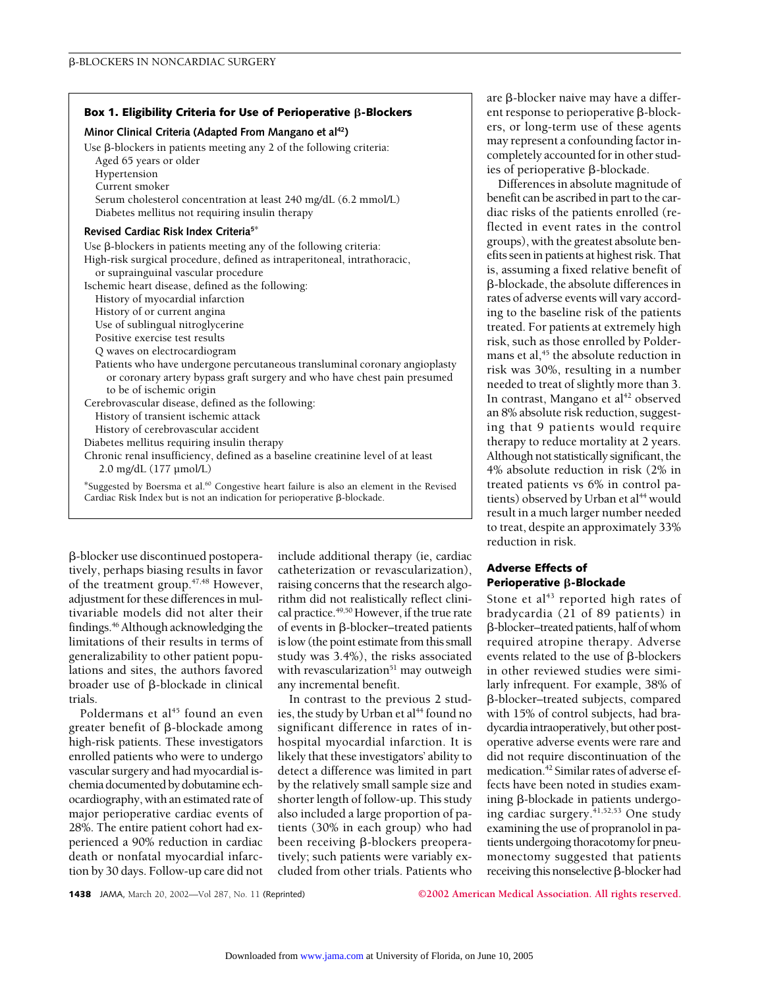#### **Box 1. Eligibility Criteria for Use of Perioperative B-Blockers**

#### **Minor Clinical Criteria (Adapted From Mangano et al42)**

Use  $\beta$ -blockers in patients meeting any 2 of the following criteria: Aged 65 years or older

- Hypertension
- Current smoker

Serum cholesterol concentration at least 240 mg/dL (6.2 mmol/L) Diabetes mellitus not requiring insulin therapy

## **Revised Cardiac Risk Index Criteria5**\*

Use  $\beta$ -blockers in patients meeting any of the following criteria: High-risk surgical procedure, defined as intraperitoneal, intrathoracic, or suprainguinal vascular procedure Ischemic heart disease, defined as the following: History of myocardial infarction History of or current angina Use of sublingual nitroglycerine Positive exercise test results Q waves on electrocardiogram Patients who have undergone percutaneous transluminal coronary angioplasty or coronary artery bypass graft surgery and who have chest pain presumed to be of ischemic origin Cerebrovascular disease, defined as the following: History of transient ischemic attack History of cerebrovascular accident Diabetes mellitus requiring insulin therapy Chronic renal insufficiency, defined as a baseline creatinine level of at least

2.0 mg/dL (177 µmol/L)

\*Suggested by Boersma et al.60 Congestive heart failure is also an element in the Revised Cardiac Risk Index but is not an indication for perioperative  $\beta$ -blockade.

-blocker use discontinued postoperatively, perhaps biasing results in favor of the treatment group.47,48 However, adjustment for these differences in multivariable models did not alter their findings.46Although acknowledging the limitations of their results in terms of generalizability to other patient populations and sites, the authors favored broader use of  $\beta$ -blockade in clinical trials.

Poldermans et al<sup>45</sup> found an even greater benefit of  $\beta$ -blockade among high-risk patients. These investigators enrolled patients who were to undergo vascular surgery and had myocardial ischemia documented by dobutamine echocardiography, with an estimated rate of major perioperative cardiac events of 28%. The entire patient cohort had experienced a 90% reduction in cardiac death or nonfatal myocardial infarction by 30 days. Follow-up care did not

include additional therapy (ie, cardiac catheterization or revascularization), raising concerns that the research algorithm did not realistically reflect clinical practice.<sup>49,50</sup> However, if the true rate of events in  $\beta$ -blocker–treated patients is low (the point estimate from this small study was 3.4%), the risks associated with revascularization $51$  may outweigh any incremental benefit.

In contrast to the previous 2 studies, the study by Urban et al<sup>44</sup> found no significant difference in rates of inhospital myocardial infarction. It is likely that these investigators' ability to detect a difference was limited in part by the relatively small sample size and shorter length of follow-up. This study also included a large proportion of patients (30% in each group) who had been receiving  $\beta$ -blockers preoperatively; such patients were variably excluded from other trials. Patients who

are  $\beta$ -blocker naive may have a different response to perioperative  $\beta$ -blockers, or long-term use of these agents may represent a confounding factor incompletely accounted for in other studies of perioperative  $\beta$ -blockade.

Differences in absolute magnitude of benefit can be ascribed in part to the cardiac risks of the patients enrolled (reflected in event rates in the control groups), with the greatest absolute benefits seen in patients at highest risk. That is, assuming a fixed relative benefit of -blockade, the absolute differences in rates of adverse events will vary according to the baseline risk of the patients treated. For patients at extremely high risk, such as those enrolled by Poldermans et al,<sup>45</sup> the absolute reduction in risk was 30%, resulting in a number needed to treat of slightly more than 3. In contrast, Mangano et al<sup>42</sup> observed an 8% absolute risk reduction, suggesting that 9 patients would require therapy to reduce mortality at 2 years. Although not statistically significant, the 4% absolute reduction in risk (2% in treated patients vs 6% in control patients) observed by Urban et al<sup>44</sup> would result in a much larger number needed to treat, despite an approximately 33% reduction in risk.

## **Adverse Effects of Perioperative B-Blockade**

Stone et al<sup>43</sup> reported high rates of bradycardia (21 of 89 patients) in -blocker–treated patients, half of whom required atropine therapy. Adverse events related to the use of  $\beta$ -blockers in other reviewed studies were similarly infrequent. For example, 38% of -blocker–treated subjects, compared with 15% of control subjects, had bradycardia intraoperatively, but other postoperative adverse events were rare and did not require discontinuation of the medication.42 Similar rates of adverse effects have been noted in studies examining  $\beta$ -blockade in patients undergoing cardiac surgery.<sup>41,52,53</sup> One study examining the use of propranolol in patients undergoing thoracotomy for pneumonectomy suggested that patients receiving this nonselective  $\beta$ -blocker had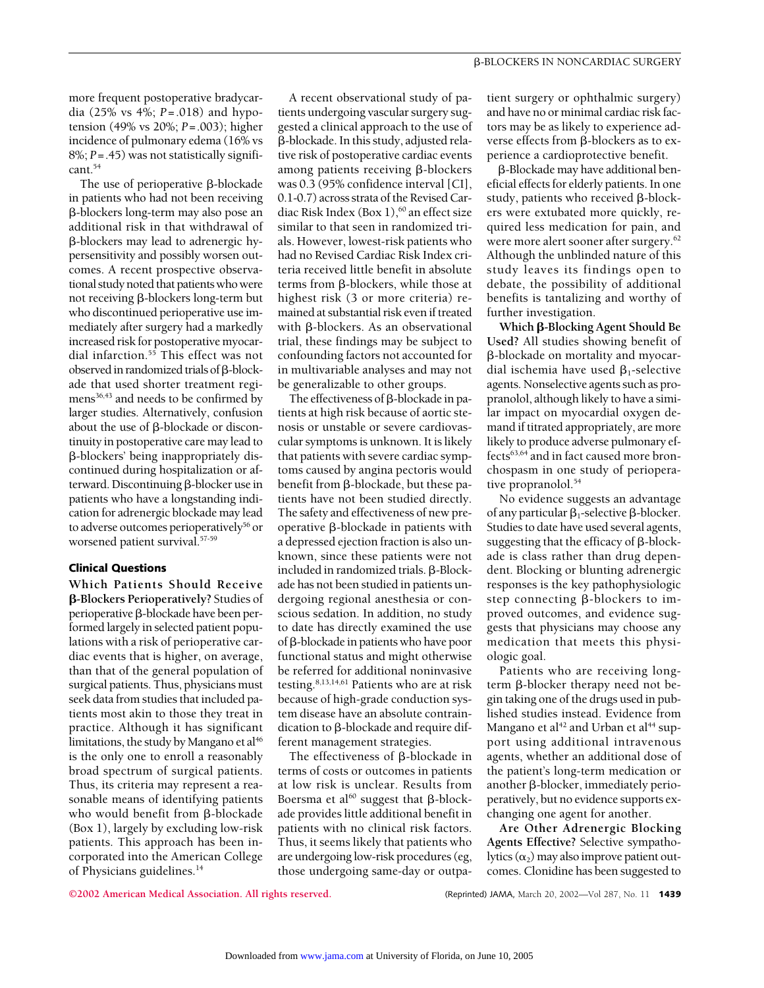more frequent postoperative bradycardia (25% vs 4%; *P*=.018) and hypotension (49% vs 20%; *P*=.003); higher incidence of pulmonary edema (16% vs 8%; *P*=.45) was not statistically significant.54

The use of perioperative  $\beta$ -blockade in patients who had not been receiving -blockers long-term may also pose an additional risk in that withdrawal of -blockers may lead to adrenergic hypersensitivity and possibly worsen outcomes. A recent prospective observational study noted that patients who were not receiving  $\beta$ -blockers long-term but who discontinued perioperative use immediately after surgery had a markedly increased risk for postoperative myocardial infarction.<sup>55</sup> This effect was not observed in randomized trials of  $\beta$ -blockade that used shorter treatment regimens<sup>36,43</sup> and needs to be confirmed by larger studies. Alternatively, confusion about the use of  $\beta$ -blockade or discontinuity in postoperative care may lead to -blockers' being inappropriately discontinued during hospitalization or afterward. Discontinuing  $\beta$ -blocker use in patients who have a longstanding indication for adrenergic blockade may lead to adverse outcomes perioperatively<sup>56</sup> or worsened patient survival.57-59

#### **Clinical Questions**

**Which Patients Should Receive -Blockers Perioperatively?** Studies of  $perioperative \beta-blockade have been per$ formed largely in selected patient populations with a risk of perioperative cardiac events that is higher, on average, than that of the general population of surgical patients. Thus, physicians must seek data from studies that included patients most akin to those they treat in practice. Although it has significant limitations, the study by Mangano et al<sup>46</sup> is the only one to enroll a reasonably broad spectrum of surgical patients. Thus, its criteria may represent a reasonable means of identifying patients who would benefit from  $\beta$ -blockade (Box 1), largely by excluding low-risk patients. This approach has been incorporated into the American College of Physicians guidelines.14

A recent observational study of patients undergoing vascular surgery suggested a clinical approach to the use of -blockade. In this study, adjusted relative risk of postoperative cardiac events among patients receiving  $\beta$ -blockers was 0.3 (95% confidence interval [CI], 0.1-0.7) across strata of the Revised Cardiac Risk Index (Box  $1$ ),<sup>60</sup> an effect size similar to that seen in randomized trials. However, lowest-risk patients who had no Revised Cardiac Risk Index criteria received little benefit in absolute terms from  $\beta$ -blockers, while those at highest risk (3 or more criteria) remained at substantial risk even if treated with B-blockers. As an observational trial, these findings may be subject to confounding factors not accounted for in multivariable analyses and may not be generalizable to other groups.

The effectiveness of  $\beta$ -blockade in patients at high risk because of aortic stenosis or unstable or severe cardiovascular symptoms is unknown. It is likely that patients with severe cardiac symptoms caused by angina pectoris would benefit from  $\beta$ -blockade, but these patients have not been studied directly. The safety and effectiveness of new preoperative  $\beta$ -blockade in patients with a depressed ejection fraction is also unknown, since these patients were not included in randomized trials.  $\beta$ -Blockade has not been studied in patients undergoing regional anesthesia or conscious sedation. In addition, no study to date has directly examined the use of  $\beta$ -blockade in patients who have poor functional status and might otherwise be referred for additional noninvasive testing. $8,13,14,61$  Patients who are at risk because of high-grade conduction system disease have an absolute contraindication to  $\beta$ -blockade and require different management strategies.

The effectiveness of  $\beta$ -blockade in terms of costs or outcomes in patients at low risk is unclear. Results from Boersma et al<sup>60</sup> suggest that  $\beta$ -blockade provides little additional benefit in patients with no clinical risk factors. Thus, it seems likely that patients who are undergoing low-risk procedures (eg, those undergoing same-day or outpatient surgery or ophthalmic surgery) and have no or minimal cardiac risk factors may be as likely to experience adverse effects from  $\beta$ -blockers as to experience a cardioprotective benefit.

-Blockade may have additional beneficial effects for elderly patients. In one study, patients who received  $\beta$ -blockers were extubated more quickly, required less medication for pain, and were more alert sooner after surgery.62 Although the unblinded nature of this study leaves its findings open to debate, the possibility of additional benefits is tantalizing and worthy of further investigation.

**Which β-Blocking Agent Should Be Used?** All studies showing benefit of -blockade on mortality and myocardial ischemia have used  $\beta_1$ -selective agents. Nonselective agents such as propranolol, although likely to have a similar impact on myocardial oxygen demand if titrated appropriately, are more likely to produce adverse pulmonary effects63,64 and in fact caused more bronchospasm in one study of perioperative propranolol.<sup>54</sup>

No evidence suggests an advantage of any particular  $\beta_1$ -selective  $\beta$ -blocker. Studies to date have used several agents, suggesting that the efficacy of  $\beta$ -blockade is class rather than drug dependent. Blocking or blunting adrenergic responses is the key pathophysiologic step connecting  $\beta$ -blockers to improved outcomes, and evidence suggests that physicians may choose any medication that meets this physiologic goal.

Patients who are receiving longterm  $\beta$ -blocker therapy need not begin taking one of the drugs used in published studies instead. Evidence from Mangano et al<sup>42</sup> and Urban et al<sup>44</sup> support using additional intravenous agents, whether an additional dose of the patient's long-term medication or another  $\beta$ -blocker, immediately perioperatively, but no evidence supports exchanging one agent for another.

**Are Other Adrenergic Blocking Agents Effective?** Selective sympatholytics  $(\alpha_2)$  may also improve patient outcomes. Clonidine has been suggested to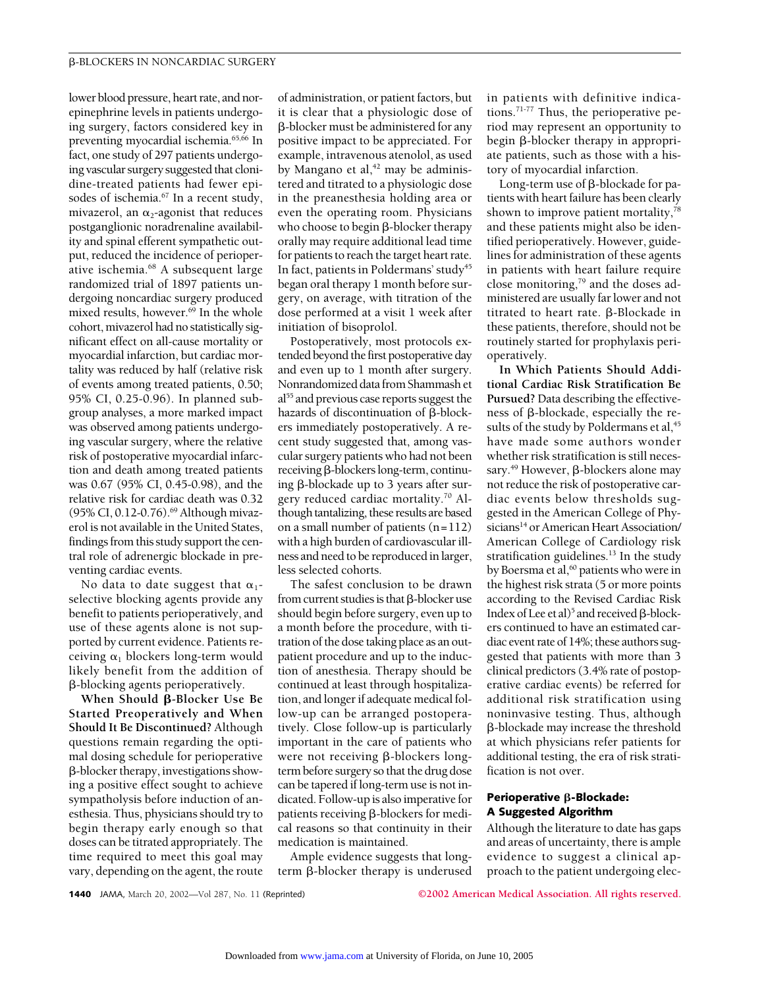lower blood pressure, heart rate, and norepinephrine levels in patients undergoing surgery, factors considered key in preventing myocardial ischemia.<sup>65,66</sup> In fact, one study of 297 patients undergoing vascular surgery suggested that clonidine-treated patients had fewer episodes of ischemia.<sup>67</sup> In a recent study, mivazerol, an  $\alpha_2$ -agonist that reduces postganglionic noradrenaline availability and spinal efferent sympathetic output, reduced the incidence of perioperative ischemia.<sup>68</sup> A subsequent large randomized trial of 1897 patients undergoing noncardiac surgery produced mixed results, however. $69$  In the whole cohort, mivazerol had no statistically significant effect on all-cause mortality or myocardial infarction, but cardiac mortality was reduced by half (relative risk of events among treated patients, 0.50; 95% CI, 0.25-0.96). In planned subgroup analyses, a more marked impact was observed among patients undergoing vascular surgery, where the relative risk of postoperative myocardial infarction and death among treated patients was 0.67 (95% CI, 0.45-0.98), and the relative risk for cardiac death was 0.32 (95% CI, 0.12-0.76).<sup>69</sup> Although mivazerol is not available in the United States, findings from this study support the central role of adrenergic blockade in preventing cardiac events.

No data to date suggest that  $\alpha_1$ selective blocking agents provide any benefit to patients perioperatively, and use of these agents alone is not supported by current evidence. Patients receiving  $\alpha_1$  blockers long-term would likely benefit from the addition of -blocking agents perioperatively.

**When Should β-Blocker Use Be Started Preoperatively and When Should It Be Discontinued?** Although questions remain regarding the optimal dosing schedule for perioperative -blocker therapy, investigations showing a positive effect sought to achieve sympatholysis before induction of anesthesia. Thus, physicians should try to begin therapy early enough so that doses can be titrated appropriately. The time required to meet this goal may vary, depending on the agent, the route of administration, or patient factors, but it is clear that a physiologic dose of -blocker must be administered for any positive impact to be appreciated. For example, intravenous atenolol, as used by Mangano et al, $42$  may be administered and titrated to a physiologic dose in the preanesthesia holding area or even the operating room. Physicians who choose to begin  $\beta$ -blocker therapy orally may require additional lead time for patients to reach the target heart rate. In fact, patients in Poldermans' study<sup>45</sup> began oral therapy 1 month before surgery, on average, with titration of the dose performed at a visit 1 week after initiation of bisoprolol.

Postoperatively, most protocols extended beyond the first postoperative day and even up to 1 month after surgery. Nonrandomized data from Shammash et al<sup>55</sup> and previous case reports suggest the hazards of discontinuation of  $\beta$ -blockers immediately postoperatively. A recent study suggested that, among vascular surgery patients who had not been  $r$ eceiving  $\beta$ -blockers long-term, continuing  $\beta$ -blockade up to 3 years after surgery reduced cardiac mortality.70 Although tantalizing, these results are based on a small number of patients (n=112) with a high burden of cardiovascular illness and need to be reproduced in larger, less selected cohorts.

The safest conclusion to be drawn from current studies is that B-blocker use should begin before surgery, even up to a month before the procedure, with titration of the dose taking place as an outpatient procedure and up to the induction of anesthesia. Therapy should be continued at least through hospitalization, and longer if adequate medical follow-up can be arranged postoperatively. Close follow-up is particularly important in the care of patients who were not receiving  $\beta$ -blockers longterm before surgery so that the drug dose can be tapered if long-term use is not indicated. Follow-up is also imperative for patients receiving  $\beta$ -blockers for medical reasons so that continuity in their medication is maintained.

Ample evidence suggests that longterm  $\beta$ -blocker therapy is underused in patients with definitive indications.71-77 Thus, the perioperative period may represent an opportunity to  $begin{bmatrix} \beta\text{-blocker} & \text{therefore} \\ \text{therefore} & \text{therefore} \end{bmatrix}$ ate patients, such as those with a history of myocardial infarction.

Long-term use of  $\beta$ -blockade for patients with heart failure has been clearly shown to improve patient mortality,<sup>78</sup> and these patients might also be identified perioperatively. However, guidelines for administration of these agents in patients with heart failure require close monitoring,79 and the doses administered are usually far lower and not titrated to heart rate. B-Blockade in these patients, therefore, should not be routinely started for prophylaxis perioperatively.

**In Which Patients Should Additional Cardiac Risk Stratification Be Pursued?** Data describing the effectiveness of  $\beta$ -blockade, especially the results of the study by Poldermans et al, $45$ have made some authors wonder whether risk stratification is still necessary.<sup>49</sup> However,  $\beta$ -blockers alone may not reduce the risk of postoperative cardiac events below thresholds suggested in the American College of Physicians<sup>14</sup> or American Heart Association/ American College of Cardiology risk stratification guidelines.<sup>13</sup> In the study by Boersma et al,<sup>60</sup> patients who were in the highest risk strata (5 or more points according to the Revised Cardiac Risk Index of Lee et al)<sup>5</sup> and received  $\beta$ -blockers continued to have an estimated cardiac event rate of 14%; these authors suggested that patients with more than 3 clinical predictors (3.4% rate of postoperative cardiac events) be referred for additional risk stratification using noninvasive testing. Thus, although -blockade may increase the threshold at which physicians refer patients for additional testing, the era of risk stratification is not over.

## **Perioperative β-Blockade: A Suggested Algorithm**

Although the literature to date has gaps and areas of uncertainty, there is ample evidence to suggest a clinical approach to the patient undergoing elec-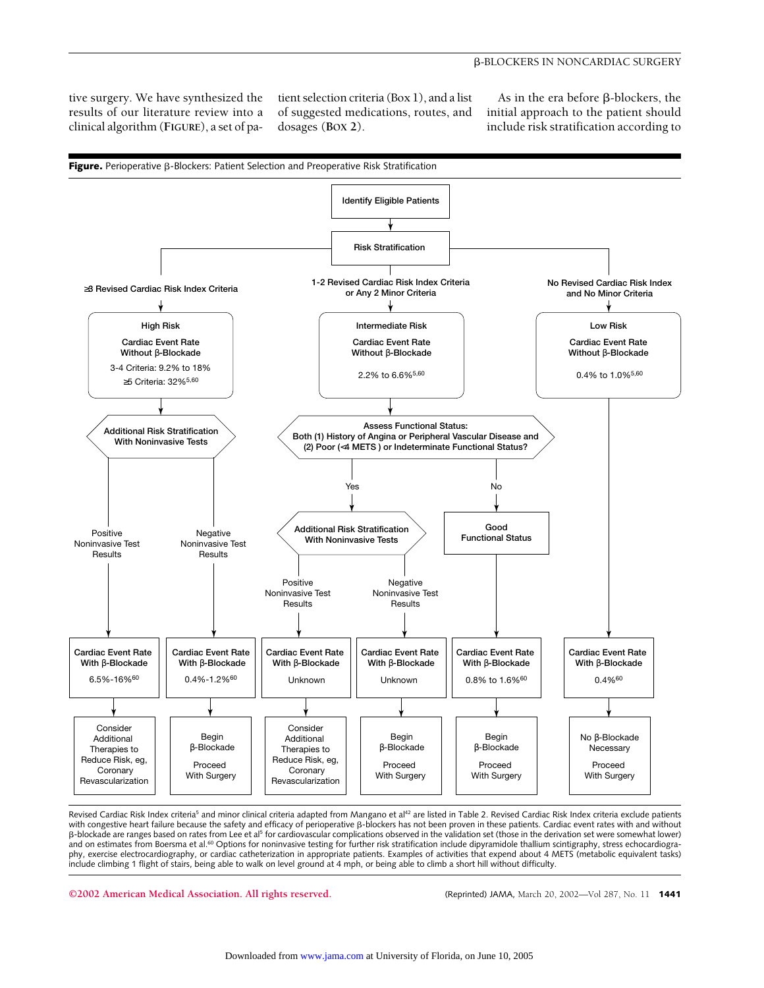#### -BLOCKERS IN NONCARDIAC SURGERY

tive surgery. We have synthesized the results of our literature review into a clinical algorithm (**FIGURE**), a set of patient selection criteria (Box 1), and a list of suggested medications, routes, and dosages (**BOX 2**).

As in the era before  $\beta$ -blockers, the initial approach to the patient should include risk stratification according to



Revised Cardiac Risk Index criteria<sup>5</sup> and minor clinical criteria adapted from Mangano et al<sup>42</sup> are listed in Table 2. Revised Cardiac Risk Index criteria exclude patients with congestive heart failure because the safety and efficacy of perioperative B-blockers has not been proven in these patients. Cardiac event rates with and without B-blockade are ranges based on rates from Lee et al<sup>5</sup> for cardiovascular complications observed in the validation set (those in the derivation set were somewhat lower) and on estimates from Boersma et al.<sup>60</sup> Options for noninvasive testing for further risk stratification include dipyramidole thallium scintigraphy, stress echocardiography, exercise electrocardiography, or cardiac catheterization in appropriate patients. Examples of activities that expend about 4 METS (metabolic equivalent tasks) include climbing 1 flight of stairs, being able to walk on level ground at 4 mph, or being able to climb a short hill without difficulty.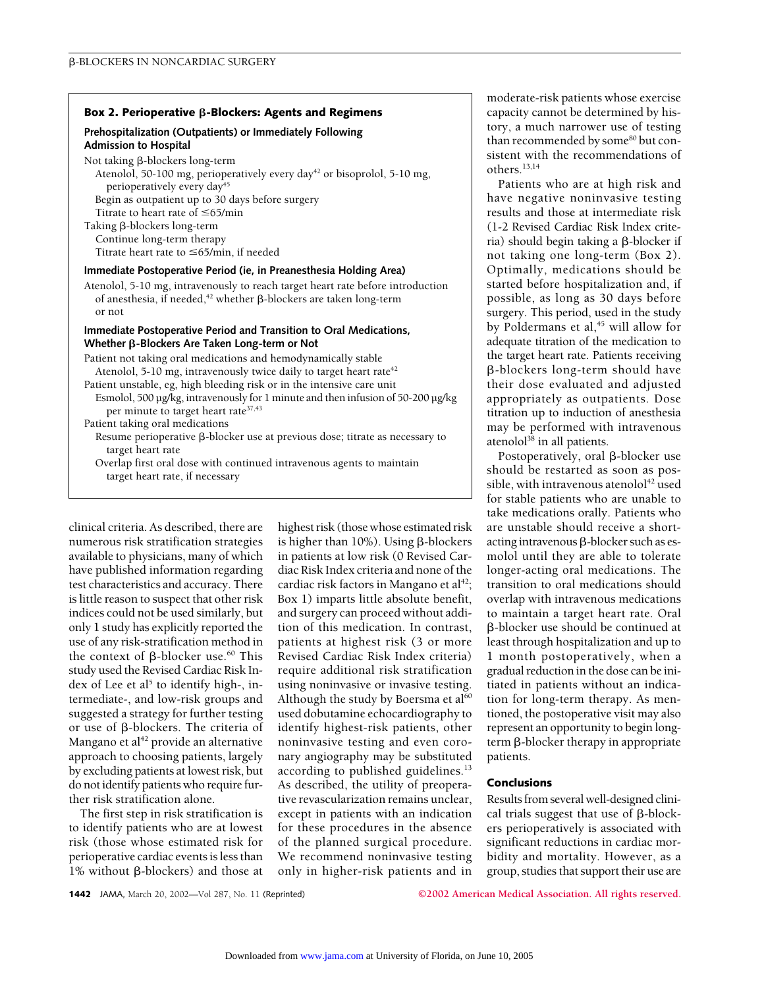## Box 2. Perioperative **ß-Blockers: Agents and Regimens**

## **Prehospitalization (Outpatients) or Immediately Following Admission to Hospital**

Not taking  $\beta$ -blockers long-term

Atenolol, 50-100 mg, perioperatively every day<sup>42</sup> or bisoprolol, 5-10 mg, perioperatively every day<sup>45</sup>

Begin as outpatient up to 30 days before surgery

Titrate to heart rate of  $\leq$ 65/min Taking  $\beta$ -blockers long-term Continue long-term therapy Titrate heart rate to  $\leq$  65/min, if needed

#### **Immediate Postoperative Period (ie, in Preanesthesia Holding Area)**

Atenolol, 5-10 mg, intravenously to reach target heart rate before introduction of anesthesia, if needed,<sup>42</sup> whether  $\beta$ -blockers are taken long-term or not

## **Immediate Postoperative Period and Transition to Oral Medications, Whether β-Blockers Are Taken Long-term or Not**

Patient not taking oral medications and hemodynamically stable Atenolol, 5-10 mg, intravenously twice daily to target heart rate<sup>42</sup> Patient unstable, eg, high bleeding risk or in the intensive care unit Esmolol, 500 µg/kg, intravenously for 1 minute and then infusion of 50-200 µg/kg per minute to target heart rate<sup>37,43</sup> Patient taking oral medications Resume perioperative  $\beta$ -blocker use at previous dose; titrate as necessary to target heart rate

Overlap first oral dose with continued intravenous agents to maintain target heart rate, if necessary

clinical criteria. As described, there are numerous risk stratification strategies available to physicians, many of which have published information regarding test characteristics and accuracy. There is little reason to suspect that other risk indices could not be used similarly, but only 1 study has explicitly reported the use of any risk-stratification method in the context of  $\beta$ -blocker use.<sup>60</sup> This study used the Revised Cardiac Risk Index of Lee et al<sup>5</sup> to identify high-, intermediate-, and low-risk groups and suggested a strategy for further testing or use of  $\beta$ -blockers. The criteria of Mangano et al $42$  provide an alternative approach to choosing patients, largely by excluding patients at lowest risk, but do not identify patients who require further risk stratification alone.

The first step in risk stratification is to identify patients who are at lowest risk (those whose estimated risk for perioperative cardiac events is less than 1% without β-blockers) and those at highest risk (those whose estimated risk is higher than  $10\%$ ). Using  $\beta$ -blockers in patients at low risk (0 Revised Cardiac Risk Index criteria and none of the cardiac risk factors in Mangano et al<sup>42</sup>; Box 1) imparts little absolute benefit, and surgery can proceed without addition of this medication. In contrast, patients at highest risk (3 or more Revised Cardiac Risk Index criteria) require additional risk stratification using noninvasive or invasive testing. Although the study by Boersma et  $al<sup>60</sup>$ used dobutamine echocardiography to identify highest-risk patients, other noninvasive testing and even coronary angiography may be substituted according to published guidelines.<sup>13</sup> As described, the utility of preoperative revascularization remains unclear, except in patients with an indication for these procedures in the absence of the planned surgical procedure. We recommend noninvasive testing only in higher-risk patients and in

moderate-risk patients whose exercise capacity cannot be determined by history, a much narrower use of testing than recommended by some<sup>80</sup> but consistent with the recommendations of others.13,14

Patients who are at high risk and have negative noninvasive testing results and those at intermediate risk (1-2 Revised Cardiac Risk Index criteria) should begin taking a  $\beta$ -blocker if not taking one long-term (Box 2). Optimally, medications should be started before hospitalization and, if possible, as long as 30 days before surgery. This period, used in the study by Poldermans et al,<sup>45</sup> will allow for adequate titration of the medication to the target heart rate. Patients receiving -blockers long-term should have their dose evaluated and adjusted appropriately as outpatients. Dose titration up to induction of anesthesia may be performed with intravenous atenolol $38$  in all patients.

Postoperatively, oral  $\beta$ -blocker use should be restarted as soon as possible, with intravenous atenolol $42$  used for stable patients who are unable to take medications orally. Patients who are unstable should receive a shortacting intravenous  $\beta$ -blocker such as esmolol until they are able to tolerate longer-acting oral medications. The transition to oral medications should overlap with intravenous medications to maintain a target heart rate. Oral -blocker use should be continued at least through hospitalization and up to 1 month postoperatively, when a gradual reduction in the dose can be initiated in patients without an indication for long-term therapy. As mentioned, the postoperative visit may also represent an opportunity to begin longterm  $\beta$ -blocker therapy in appropriate patients.

## **Conclusions**

Results from several well-designed clinical trials suggest that use of  $\beta$ -blockers perioperatively is associated with significant reductions in cardiac morbidity and mortality. However, as a group, studies that support their use are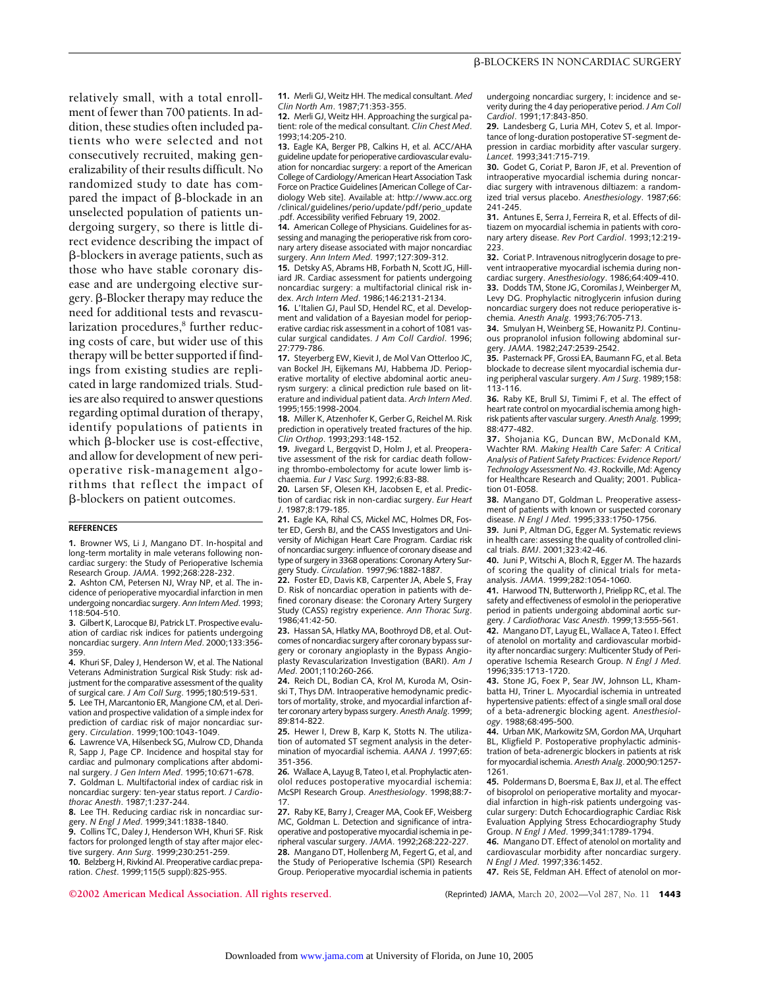relatively small, with a total enrollment of fewer than 700 patients. In addition, these studies often included patients who were selected and not consecutively recruited, making generalizability of their results difficult. No randomized study to date has compared the impact of  $\beta$ -blockade in an unselected population of patients undergoing surgery, so there is little direct evidence describing the impact of -blockers in average patients, such as those who have stable coronary disease and are undergoing elective sur $g$ ery.  $\beta$ -Blocker therapy may reduce the need for additional tests and revascularization procedures,<sup>8</sup> further reducing costs of care, but wider use of this therapy will be better supported if findings from existing studies are replicated in large randomized trials. Studies are also required to answer questions regarding optimal duration of therapy, identify populations of patients in which  $\beta$ -blocker use is cost-effective, and allow for development of new perioperative risk-management algorithms that reflect the impact of -blockers on patient outcomes.

#### **REFERENCES**

**1.** Browner WS, Li J, Mangano DT. In-hospital and long-term mortality in male veterans following noncardiac surgery: the Study of Perioperative Ischemia Research Group. *JAMA*. 1992;268:228-232.

**2.** Ashton CM, Petersen NJ, Wray NP, et al. The incidence of perioperative myocardial infarction in men undergoing noncardiac surgery.*Ann Intern Med*. 1993; 118:504-510.

**3.** Gilbert K, Larocque BJ, Patrick LT. Prospective evaluation of cardiac risk indices for patients undergoing noncardiac surgery. *Ann Intern Med*. 2000;133:356- 359.

**4.** Khuri SF, Daley J, Henderson W, et al. The National Veterans Administration Surgical Risk Study: risk adjustment for the comparative assessment of the quality of surgical care. *J Am Coll Surg*. 1995;180:519-531. **5.** Lee TH, Marcantonio ER, Mangione CM, et al. Deri-

vation and prospective validation of a simple index for prediction of cardiac risk of major noncardiac surgery. *Circulation*. 1999;100:1043-1049.

**6.** Lawrence VA, Hilsenbeck SG, Mulrow CD, Dhanda R, Sapp J, Page CP. Incidence and hospital stay for cardiac and pulmonary complications after abdominal surgery. *J Gen Intern Med*. 1995;10:671-678. **7.** Goldman L. Multifactorial index of cardiac risk in

noncardiac surgery: ten-year status report. *J Cardiothorac Anesth*. 1987;1:237-244. **8.** Lee TH. Reducing cardiac risk in noncardiac sur-

gery. *N Engl J Med*. 1999;341:1838-1840. **9.** Collins TC, Daley J, Henderson WH, Khuri SF. Risk factors for prolonged length of stay after major elective surgery. *Ann Surg*. 1999;230:251-259. **10.** Belzberg H, Rivkind AI. Preoperative cardiac preparation. *Chest*. 1999;115(5 suppl):82S-95S.

**11.** Merli GJ, Weitz HH. The medical consultant. *Med Clin North Am*. 1987;71:353-355.

**12.** Merli GJ, Weitz HH. Approaching the surgical patient: role of the medical consultant. *Clin Chest Med*. 1993;14:205-210.

**13.** Eagle KA, Berger PB, Calkins H, et al. ACC/AHA guideline update for perioperative cardiovascular evaluation for noncardiac surgery: a report of the American College of Cardiology/American Heart Association Task Force on Practice Guidelines [American College of Cardiology Web site]. Available at: http://www.acc.org /clinical/guidelines/perio/update/pdf/perio\_update .pdf. Accessibility verified February 19, 2002.

**14.** American College of Physicians. Guidelines for assessing and managing the perioperative risk from coronary artery disease associated with major noncardiac surgery. *Ann Intern Med*. 1997;127:309-312.

**15.** Detsky AS, Abrams HB, Forbath N, Scott JG, Hilliard JR. Cardiac assessment for patients undergoing noncardiac surgery: a multifactorial clinical risk index. *Arch Intern Med*. 1986;146:2131-2134.

**16.** L'Italien GJ, Paul SD, Hendel RC, et al. Development and validation of a Bayesian model for perioperative cardiac risk assessment in a cohort of 1081 vascular surgical candidates. *J Am Coll Cardiol*. 1996; 27:779-786.

**17.** Steyerberg EW, Kievit J, de Mol Van Otterloo JC, van Bockel JH, Eijkemans MJ, Habbema JD. Perioperative mortality of elective abdominal aortic aneurysm surgery: a clinical prediction rule based on literature and individual patient data. *Arch Intern Med*. 1995;155:1998-2004.

**18.** Miller K, Atzenhofer K, Gerber G, Reichel M. Risk prediction in operatively treated fractures of the hip. *Clin Orthop*. 1993;293:148-152.

**19.** Jivegard L, Bergqvist D, Holm J, et al. Preoperative assessment of the risk for cardiac death following thrombo-embolectomy for acute lower limb ischaemia. *Eur J Vasc Surg*. 1992;6:83-88.

**20.** Larsen SF, Olesen KH, Jacobsen E, et al. Prediction of cardiac risk in non-cardiac surgery. *Eur Heart J*. 1987;8:179-185.

**21.** Eagle KA, Rihal CS, Mickel MC, Holmes DR, Foster ED, Gersh BJ, and the CASS Investigators and University of Michigan Heart Care Program. Cardiac risk of noncardiac surgery: influence of coronary disease and type of surgery in 3368 operations: Coronary Artery Surgery Study. *Circulation*. 1997;96:1882-1887.

**22.** Foster ED, Davis KB, Carpenter JA, Abele S, Fray D. Risk of noncardiac operation in patients with defined coronary disease: the Coronary Artery Surgery Study (CASS) registry experience. *Ann Thorac Surg*. 1986;41:42-50.

**23.** Hassan SA, Hlatky MA, Boothroyd DB, et al. Outcomes of noncardiac surgery after coronary bypass surgery or coronary angioplasty in the Bypass Angioplasty Revascularization Investigation (BARI). *Am J Med*. 2001;110:260-266.

**24.** Reich DL, Bodian CA, Krol M, Kuroda M, Osinski T, Thys DM. Intraoperative hemodynamic predictors of mortality, stroke, and myocardial infarction after coronary artery bypass surgery.*Anesth Analg*. 1999; 89:814-822.

**25.** Hewer I, Drew B, Karp K, Stotts N. The utilization of automated ST segment analysis in the determination of myocardial ischemia. *AANA J*. 1997;65: 351-356.

**26.** Wallace A, Layug B, Tateo I, et al. Prophylactic atenolol reduces postoperative myocardial ischemia: McSPI Research Group. *Anesthesiology*. 1998;88:7- 17.

**27.** Raby KE, Barry J, Creager MA, Cook EF, Weisberg MC, Goldman L. Detection and significance of intraoperative and postoperative myocardial ischemia in peripheral vascular surgery. *JAMA*. 1992;268:222-227. **28.** Mangano DT, Hollenberg M, Fegert G, et al, and the Study of Perioperative Ischemia (SPI) Research Group. Perioperative myocardial ischemia in patients

undergoing noncardiac surgery, I: incidence and severity during the 4 day perioperative period.*J Am Coll Cardiol*. 1991;17:843-850.

**29.** Landesberg G, Luria MH, Cotev S, et al. Importance of long-duration postoperative ST-segment depression in cardiac morbidity after vascular surgery. *Lancet*. 1993;341:715-719.

**30.** Godet G, Coriat P, Baron JF, et al. Prevention of intraoperative myocardial ischemia during noncardiac surgery with intravenous diltiazem: a randomized trial versus placebo. *Anesthesiology*. 1987;66: 241-245.

**31.** Antunes E, Serra J, Ferreira R, et al. Effects of diltiazem on myocardial ischemia in patients with coronary artery disease. *Rev Port Cardiol*. 1993;12:219- 223.

**32.** Coriat P. Intravenous nitroglycerin dosage to prevent intraoperative myocardial ischemia during noncardiac surgery. *Anesthesiology*. 1986;64:409-410. **33.** Dodds TM, Stone JG, Coromilas J, Weinberger M, Levy DG. Prophylactic nitroglycerin infusion during noncardiac surgery does not reduce perioperative ischemia. *Anesth Analg*. 1993;76:705-713.

**34.** Smulyan H, Weinberg SE, Howanitz PJ. Continuous propranolol infusion following abdominal surgery. *JAMA*. 1982;247:2539-2542.

**35.** Pasternack PF, Grossi EA, Baumann FG, et al. Beta blockade to decrease silent myocardial ischemia during peripheral vascular surgery. *Am J Surg*. 1989;158: 113-116.

**36.** Raby KE, Brull SJ, Timimi F, et al. The effect of heart rate control on myocardial ischemia among highrisk patients after vascular surgery. *Anesth Analg*. 1999; 88:477-482.

**37.** Shojania KG, Duncan BW, McDonald KM, Wachter RM. *Making Health Care Safer: A Critical Analysis of Patient Safety Practices: Evidence Report/ Technology Assessment No. 43*. Rockville, Md: Agency for Healthcare Research and Quality; 2001. Publication 01-E058.

**38.** Mangano DT, Goldman L. Preoperative assessment of patients with known or suspected coronary disease. *N Engl J Med*. 1995;333:1750-1756.

**39.** Juni P, Altman DG, Egger M. Systematic reviews in health care: assessing the quality of controlled clinical trials. *BMJ*. 2001;323:42-46.

**40.** Juni P, Witschi A, Bloch R, Egger M. The hazards of scoring the quality of clinical trials for metaanalysis. *JAMA*. 1999;282:1054-1060.

**41.** Harwood TN, Butterworth J, Prielipp RC, et al. The safety and effectiveness of esmolol in the perioperative period in patients undergoing abdominal aortic surgery. *J Cardiothorac Vasc Anesth*. 1999;13:555-561.

**42.** Mangano DT, Layug EL, Wallace A, Tateo I. Effect of atenolol on mortality and cardiovascular morbidity after noncardiac surgery: Multicenter Study of Perioperative Ischemia Research Group. *N Engl J Med*. 1996;335:1713-1720.

**43.** Stone JG, Foex P, Sear JW, Johnson LL, Khambatta HJ, Triner L. Myocardial ischemia in untreated hypertensive patients: effect of a single small oral dose of a beta-adrenergic blocking agent. *Anesthesiology*. 1988;68:495-500.

**44.** Urban MK, Markowitz SM, Gordon MA, Urquhart BL, Kligfield P. Postoperative prophylactic administration of beta-adrenergic blockers in patients at risk for myocardial ischemia. *Anesth Analg*. 2000;90:1257- 1261.

**45.** Poldermans D, Boersma E, Bax JJ, et al. The effect of bisoprolol on perioperative mortality and myocardial infarction in high-risk patients undergoing vascular surgery: Dutch Echocardiographic Cardiac Risk Evaluation Applying Stress Echocardiography Study Group. *N Engl J Med*. 1999;341:1789-1794.

**46.** Mangano DT. Effect of atenolol on mortality and cardiovascular morbidity after noncardiac surgery. *N Engl J Med*. 1997;336:1452.

**47.** Reis SE, Feldman AH. Effect of atenolol on mor-